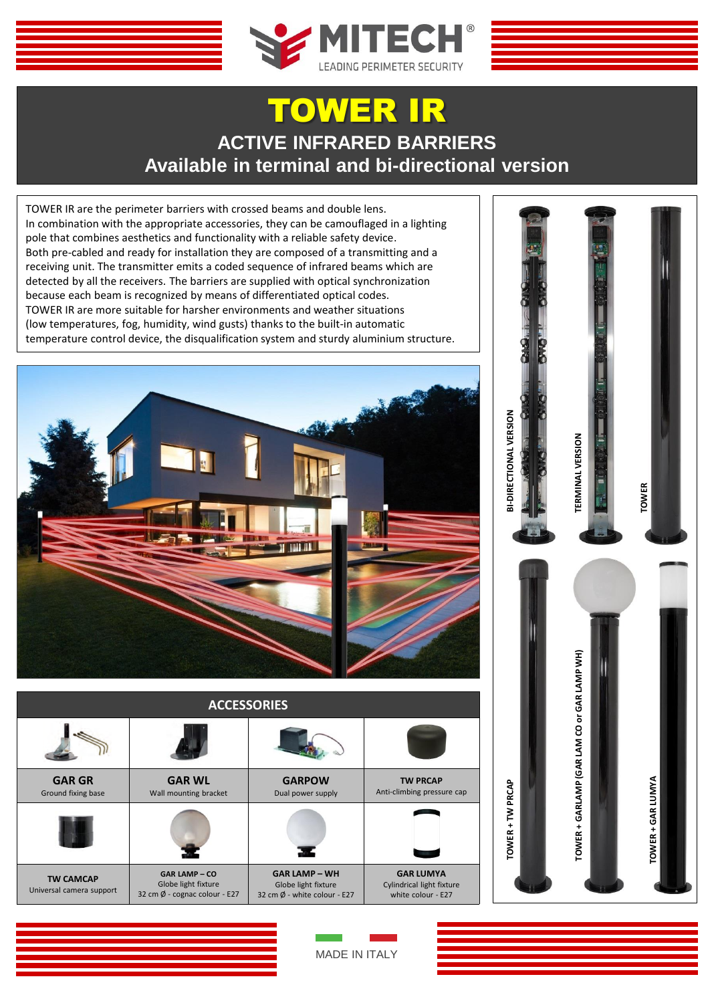

## TOWER IR **ACTIVE INFRARED BARRIERS Available in terminal and bi-directional version**

TOWER IR are the perimeter barriers with crossed beams and double lens. In combination with the appropriate accessories, they can be camouflaged in a lighting pole that combines aesthetics and functionality with a reliable safety device. Both pre-cabled and ready for installation they are composed of a transmitting and a receiving unit. The transmitter emits a coded sequence of infrared beams which are detected by all the receivers. The barriers are supplied with optical synchronization because each beam is recognized by means of differentiated optical codes. TOWER IR are more suitable for harsher environments and weather situations (low temperatures, fog, humidity, wind gusts) thanks to the built-in automatic temperature control device, the disqualification system and sturdy aluminium structure.



| <b>ACCESSORIES</b>                           |                                                                                        |                                                                                       |                                                                     |  |  |  |
|----------------------------------------------|----------------------------------------------------------------------------------------|---------------------------------------------------------------------------------------|---------------------------------------------------------------------|--|--|--|
|                                              |                                                                                        |                                                                                       |                                                                     |  |  |  |
| <b>GAR GR</b><br>Ground fixing base          | <b>GAR WL</b><br>Wall mounting bracket                                                 | <b>GARPOW</b><br>Dual power supply                                                    | <b>TW PRCAP</b><br>Anti-climbing pressure cap                       |  |  |  |
|                                              |                                                                                        |                                                                                       |                                                                     |  |  |  |
| <b>TW CAMCAP</b><br>Universal camera support | <b>GAR LAMP - CO</b><br>Globe light fixture<br>32 cm $\emptyset$ - cognac colour - E27 | <b>GAR LAMP - WH</b><br>Globe light fixture<br>32 cm $\emptyset$ - white colour - E27 | <b>GAR LUMYA</b><br>Cylindrical light fixture<br>white colour - E27 |  |  |  |